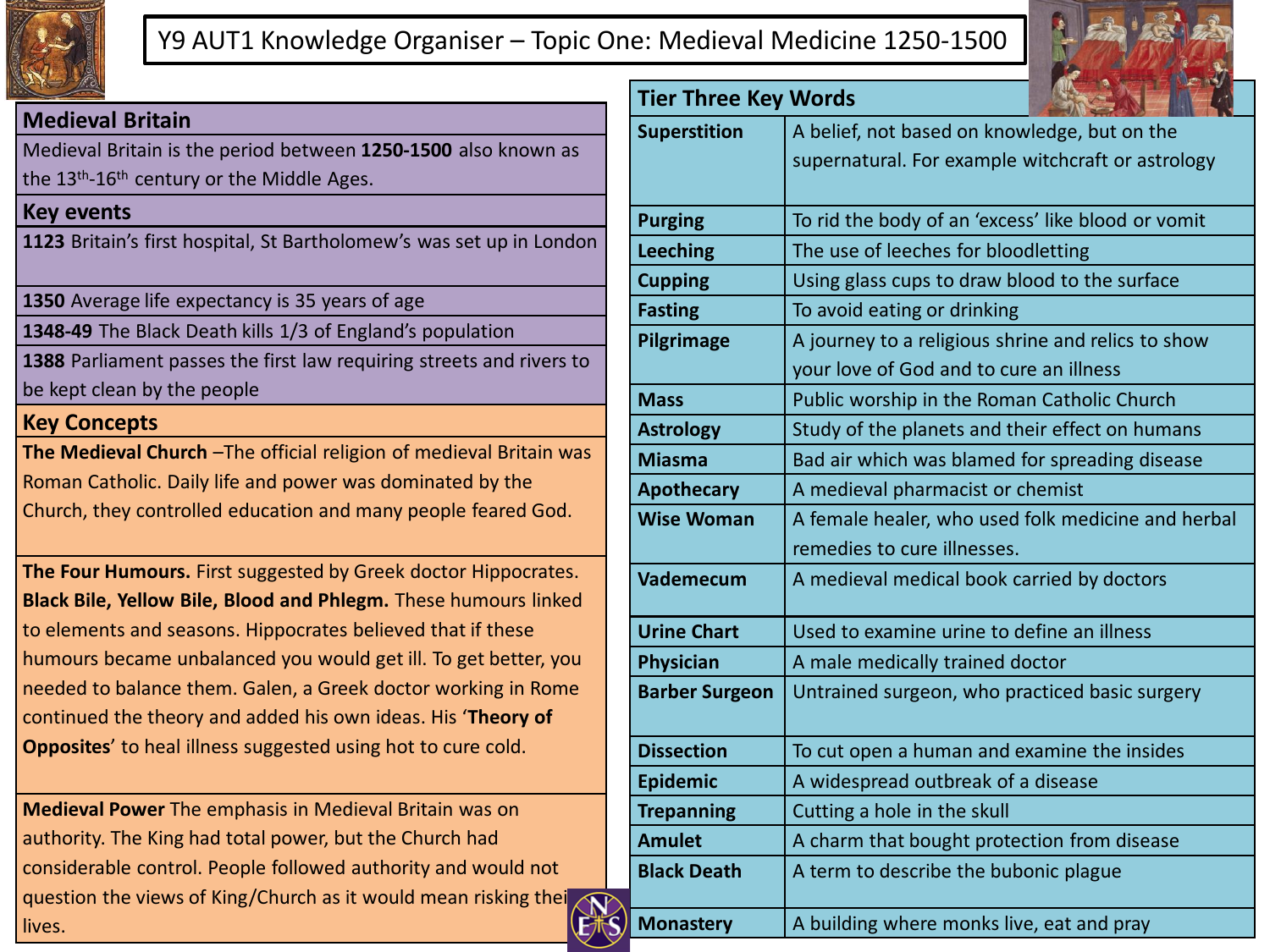

## Y9 AUT1 Knowledge Organiser – Topic One: Medieval Medicine 1250-1500



#### **Medieval Britain**

Medieval Britain is the period between **1250-1500** also known as the 13<sup>th</sup>-16<sup>th</sup> century or the Middle Ages.

#### **Key events**

**1123** Britain's first hospital, St Bartholomew's was set up in London

**1350** Average life expectancy is 35 years of age

**1348-49** The Black Death kills 1/3 of England's population

**1388** Parliament passes the first law requiring streets and rivers to be kept clean by the people

### **Key Concepts**

**The Medieval Church** –The official religion of medieval Britain was Roman Catholic. Daily life and power was dominated by the Church, they controlled education and many people feared God.

**The Four Humours.** First suggested by Greek doctor Hippocrates. **Black Bile, Yellow Bile, Blood and Phlegm.** These humours linked to elements and seasons. Hippocrates believed that if these humours became unbalanced you would get ill. To get better, you needed to balance them. Galen, a Greek doctor working in Rome continued the theory and added his own ideas. His '**Theory of Opposites**' to heal illness suggested using hot to cure cold.

**Medieval Power** The emphasis in Medieval Britain was on authority. The King had total power, but the Church had considerable control. People followed authority and would not question the views of King/Church as it would mean risking their lives.

| <b>Tier Three Key Words</b> |                                                    |
|-----------------------------|----------------------------------------------------|
| <b>Superstition</b>         | A belief, not based on knowledge, but on the       |
|                             | supernatural. For example witchcraft or astrology  |
|                             |                                                    |
| <b>Purging</b>              | To rid the body of an 'excess' like blood or vomit |
| <b>Leeching</b>             | The use of leeches for bloodletting                |
| <b>Cupping</b>              | Using glass cups to draw blood to the surface      |
| <b>Fasting</b>              | To avoid eating or drinking                        |
| Pilgrimage                  | A journey to a religious shrine and relics to show |
|                             | your love of God and to cure an illness            |
| <b>Mass</b>                 | Public worship in the Roman Catholic Church        |
| <b>Astrology</b>            | Study of the planets and their effect on humans    |
| <b>Miasma</b>               | Bad air which was blamed for spreading disease     |
| <b>Apothecary</b>           | A medieval pharmacist or chemist                   |
| <b>Wise Woman</b>           | A female healer, who used folk medicine and herbal |
|                             | remedies to cure illnesses.                        |
| <b>Vademecum</b>            | A medieval medical book carried by doctors         |
| <b>Urine Chart</b>          | Used to examine urine to define an illness         |
| <b>Physician</b>            | A male medically trained doctor                    |
| <b>Barber Surgeon</b>       | Untrained surgeon, who practiced basic surgery     |
| <b>Dissection</b>           | To cut open a human and examine the insides        |
| <b>Epidemic</b>             | A widespread outbreak of a disease                 |
| <b>Trepanning</b>           | Cutting a hole in the skull                        |
| <b>Amulet</b>               | A charm that bought protection from disease        |
| <b>Black Death</b>          | A term to describe the bubonic plague              |
| <b>Monastery</b>            | A building where monks live, eat and pray          |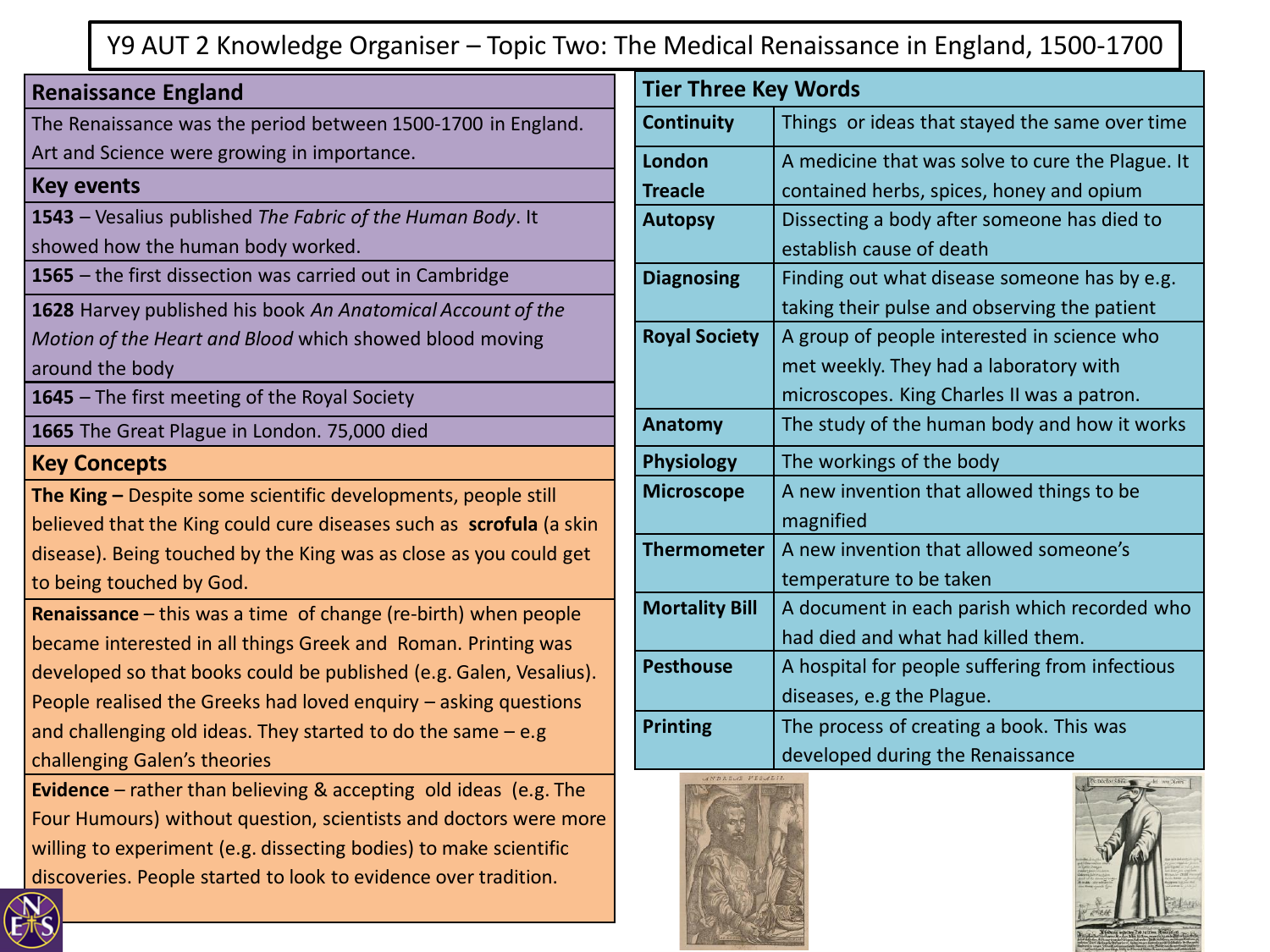# Y9 AUT 2 Knowledge Organiser – Topic Two: The Medical Renaissance in England, 1500-1700

| <b>Renaissance England</b>                                          | <b>Tier Three Key Words</b> |                                                  |
|---------------------------------------------------------------------|-----------------------------|--------------------------------------------------|
| The Renaissance was the period between 1500-1700 in England.        | <b>Continuity</b>           | Things or ideas that stayed the same over time   |
| Art and Science were growing in importance.                         | London                      | A medicine that was solve to cure the Plague. It |
| <b>Key events</b>                                                   | <b>Treacle</b>              | contained herbs, spices, honey and opium         |
| 1543 - Vesalius published The Fabric of the Human Body. It          | <b>Autopsy</b>              | Dissecting a body after someone has died to      |
| showed how the human body worked.                                   |                             | establish cause of death                         |
| 1565 - the first dissection was carried out in Cambridge            | <b>Diagnosing</b>           | Finding out what disease someone has by e.g.     |
| 1628 Harvey published his book An Anatomical Account of the         |                             | taking their pulse and observing the patient     |
| Motion of the Heart and Blood which showed blood moving             | <b>Royal Society</b>        | A group of people interested in science who      |
| around the body                                                     |                             | met weekly. They had a laboratory with           |
| 1645 - The first meeting of the Royal Society                       |                             | microscopes. King Charles II was a patron.       |
| 1665 The Great Plague in London. 75,000 died                        | Anatomy                     | The study of the human body and how it works     |
| <b>Key Concepts</b>                                                 | <b>Physiology</b>           | The workings of the body                         |
| The King - Despite some scientific developments, people still       | <b>Microscope</b>           | A new invention that allowed things to be        |
| believed that the King could cure diseases such as scrofula (a skin |                             | magnified                                        |
| disease). Being touched by the King was as close as you could get   | <b>Thermometer</b>          | A new invention that allowed someone's           |
| to being touched by God.                                            |                             | temperature to be taken                          |
| Renaissance - this was a time of change (re-birth) when people      | <b>Mortality Bill</b>       | A document in each parish which recorded who     |
| became interested in all things Greek and Roman. Printing was       |                             | had died and what had killed them.               |
| developed so that books could be published (e.g. Galen, Vesalius).  | <b>Pesthouse</b>            | A hospital for people suffering from infectious  |
| People realised the Greeks had loved enquiry - asking questions     |                             | diseases, e.g the Plague.                        |
| and challenging old ideas. They started to do the same $-$ e.g      | <b>Printing</b>             | The process of creating a book. This was         |
| challenging Galen's theories                                        |                             | developed during the Renaissance                 |
| Evidence - rather than believing & accepting old ideas (e.g. The    |                             |                                                  |
| Four Humours) without question, scientists and doctors were more    |                             |                                                  |
| willing to experiment (e.g. dissecting bodies) to make scientific   |                             |                                                  |
| discoveries. People started to look to evidence over tradition.     |                             |                                                  |

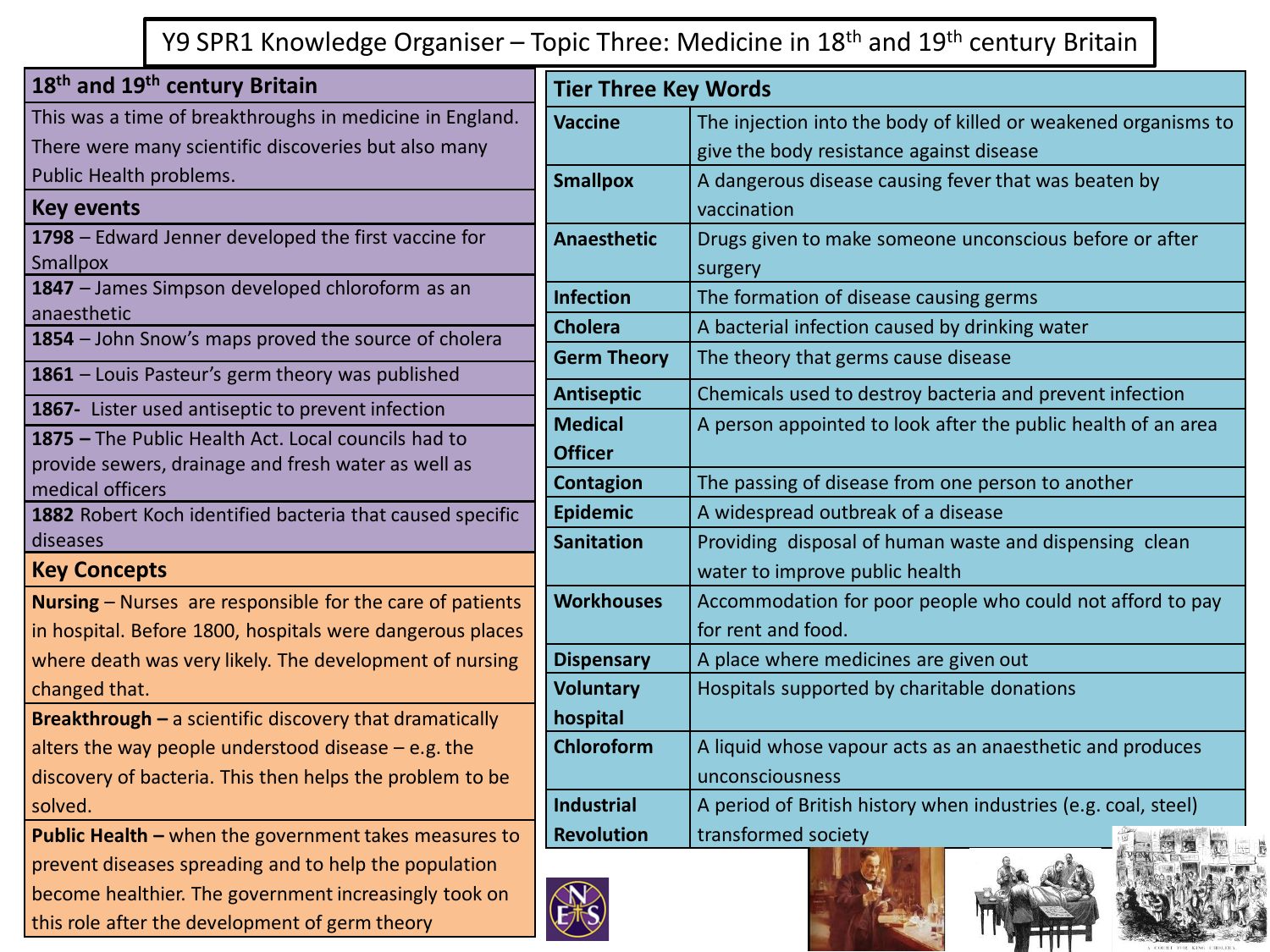Y9 SPR1 Knowledge Organiser – Topic Three: Medicine in 18<sup>th</sup> and 19<sup>th</sup> century Britain

| 18 <sup>th</sup> and 19 <sup>th</sup> century Britain                       | <b>Tier Three Key Words</b> |                                                                |  |
|-----------------------------------------------------------------------------|-----------------------------|----------------------------------------------------------------|--|
| This was a time of breakthroughs in medicine in England.                    | <b>Vaccine</b>              | The injection into the body of killed or weakened organisms to |  |
| There were many scientific discoveries but also many                        |                             | give the body resistance against disease                       |  |
| Public Health problems.                                                     | <b>Smallpox</b>             | A dangerous disease causing fever that was beaten by           |  |
| <b>Key events</b>                                                           |                             | vaccination                                                    |  |
| 1798 - Edward Jenner developed the first vaccine for                        | <b>Anaesthetic</b>          | Drugs given to make someone unconscious before or after        |  |
| Smallpox                                                                    |                             | surgery                                                        |  |
| 1847 - James Simpson developed chloroform as an                             | <b>Infection</b>            | The formation of disease causing germs                         |  |
| anaesthetic                                                                 | <b>Cholera</b>              | A bacterial infection caused by drinking water                 |  |
| 1854 - John Snow's maps proved the source of cholera                        | <b>Germ Theory</b>          | The theory that germs cause disease                            |  |
| 1861 - Louis Pasteur's germ theory was published                            |                             |                                                                |  |
| 1867- Lister used antiseptic to prevent infection                           | <b>Antiseptic</b>           | Chemicals used to destroy bacteria and prevent infection       |  |
| 1875 - The Public Health Act. Local councils had to                         | <b>Medical</b>              | A person appointed to look after the public health of an area  |  |
| provide sewers, drainage and fresh water as well as                         | <b>Officer</b>              |                                                                |  |
| medical officers                                                            | <b>Contagion</b>            | The passing of disease from one person to another              |  |
| 1882 Robert Koch identified bacteria that caused specific                   | <b>Epidemic</b>             | A widespread outbreak of a disease                             |  |
| diseases                                                                    | <b>Sanitation</b>           | Providing disposal of human waste and dispensing clean         |  |
| <b>Key Concepts</b>                                                         |                             | water to improve public health                                 |  |
| Nursing - Nurses are responsible for the care of patients                   | <b>Workhouses</b>           | Accommodation for poor people who could not afford to pay      |  |
| in hospital. Before 1800, hospitals were dangerous places                   |                             | for rent and food.                                             |  |
| where death was very likely. The development of nursing                     | <b>Dispensary</b>           | A place where medicines are given out                          |  |
| changed that.                                                               | <b>Voluntary</b>            | Hospitals supported by charitable donations                    |  |
| <b>Breakthrough <math>-</math></b> a scientific discovery that dramatically | hospital                    |                                                                |  |
| alters the way people understood disease $-$ e.g. the                       | <b>Chloroform</b>           | A liquid whose vapour acts as an anaesthetic and produces      |  |
| discovery of bacteria. This then helps the problem to be                    |                             | unconsciousness                                                |  |
| solved.                                                                     | <b>Industrial</b>           | A period of British history when industries (e.g. coal, steel) |  |
| Public Health - when the government takes measures to                       | <b>Revolution</b>           | transformed society                                            |  |
| prevent diseases spreading and to help the population                       |                             |                                                                |  |
| become healthier. The government increasingly took on                       |                             |                                                                |  |
| this role after the development of germ theory                              |                             |                                                                |  |